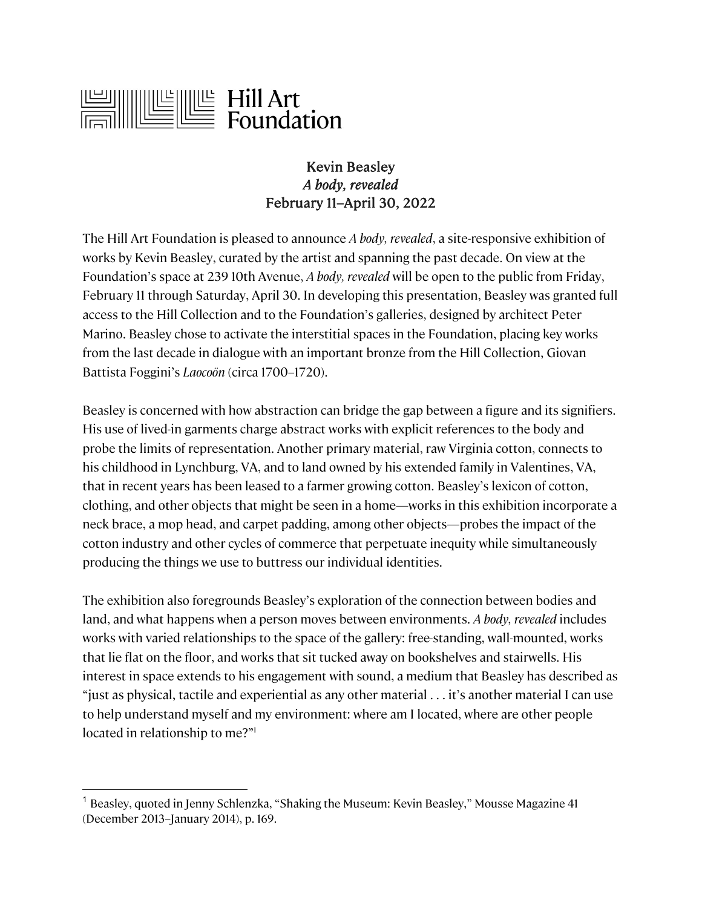

## Kevin Beasley *A body, revealed* February 11–April 30, 2022

The Hill Art Foundation is pleased to announce *A body, revealed*, a site-responsive exhibition of works by Kevin Beasley, curated by the artist and spanning the past decade. On view at the Foundation's space at 239 10th Avenue, *A body, revealed* will be open to the public from Friday, February 11 through Saturday, April 30. In developing this presentation, Beasley was granted full access to the Hill Collection and to the Foundation's galleries, designed by architect Peter Marino. Beasley chose to activate the interstitial spaces in the Foundation, placing key works from the last decade in dialogue with an important bronze from the Hill Collection, Giovan Battista Foggini's *Laocoön* (circa 1700–1720).

Beasley is concerned with how abstraction can bridge the gap between a figure and its signifiers. His use of lived-in garments charge abstract works with explicit references to the body and probe the limits of representation. Another primary material, raw Virginia cotton, connects to his childhood in Lynchburg, VA, and to land owned by his extended family in Valentines, VA, that in recent years has been leased to a farmer growing cotton. Beasley's lexicon of cotton, clothing, and other objects that might be seen in a home—works in this exhibition incorporate a neck brace, a mop head, and carpet padding, among other objects—probes the impact of the cotton industry and other cycles of commerce that perpetuate inequity while simultaneously producing the things we use to buttress our individual identities.

The exhibition also foregrounds Beasley's exploration of the connection between bodies and land, and what happens when a person moves between environments. *A body, revealed* includes works with varied relationships to the space of the gallery: free-standing, wall-mounted, works that lie flat on the floor, and works that sit tucked away on bookshelves and stairwells. His interest in space extends to his engagement with sound, a medium that Beasley has described as "just as physical, tactile and experiential as any other material . . . it's another material I can use to help understand myself and my environment: where am I located, where are other people located in relationship to me?"<sup>1</sup>

<sup>&</sup>lt;sup>1</sup> Beasley, quoted in Jenny Schlenzka, "Shaking the Museum: Kevin Beasley," Mousse Magazine 41 (December 2013–January 2014), p. 169.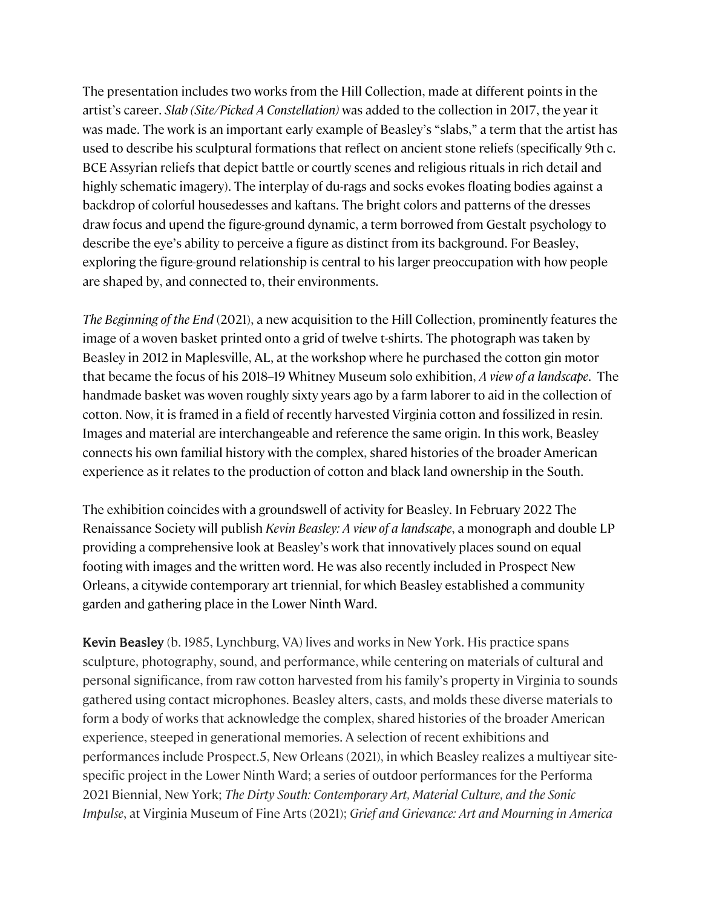The presentation includes two works from the Hill Collection, made at different points in the artist's career. *Slab (Site/Picked A Constellation)* was added to the collection in 2017, the year it was made. The work is an important early example of Beasley's "slabs," a term that the artist has used to describe his sculptural formations that reflect on ancient stone reliefs (specifically 9th c. BCE Assyrian reliefs that depict battle or courtly scenes and religious rituals in rich detail and highly schematic imagery). The interplay of du-rags and socks evokes floating bodies against a backdrop of colorful housedesses and kaftans. The bright colors and patterns of the dresses draw focus and upend the figure-ground dynamic, a term borrowed from Gestalt psychology to describe the eye's ability to perceive a figure as distinct from its background. For Beasley, exploring the figure-ground relationship is central to his larger preoccupation with how people are shaped by, and connected to, their environments.

*The Beginning of the End* (2021), a new acquisition to the Hill Collection, prominently features the image of a woven basket printed onto a grid of twelve t-shirts. The photograph was taken by Beasley in 2012 in Maplesville, AL, at the workshop where he purchased the cotton gin motor that became the focus of his 2018–19 Whitney Museum solo exhibition, *A view of a landscape*. The handmade basket was woven roughly sixty years ago by a farm laborer to aid in the collection of cotton. Now, it is framed in a field of recently harvested Virginia cotton and fossilized in resin. Images and material are interchangeable and reference the same origin. In this work, Beasley connects his own familial history with the complex, shared histories of the broader American experience as it relates to the production of cotton and black land ownership in the South.

The exhibition coincides with a groundswell of activity for Beasley. In February 2022 The Renaissance Society will publish *Kevin Beasley: A view of a landscape*, a monograph and double LP providing a comprehensive look at Beasley's work that innovatively places sound on equal footing with images and the written word. He was also recently included in Prospect New Orleans, a citywide contemporary art triennial, for which Beasley established a community garden and gathering place in the Lower Ninth Ward.

Kevin Beasley (b. 1985, Lynchburg, VA) lives and works in New York. His practice spans sculpture, photography, sound, and performance, while centering on materials of cultural and personal significance, from raw cotton harvested from his family's property in Virginia to sounds gathered using contact microphones. Beasley alters, casts, and molds these diverse materials to form a body of works that acknowledge the complex, shared histories of the broader American experience, steeped in generational memories. A selection of recent exhibitions and performances include Prospect.5, New Orleans (2021), in which Beasley realizes a multiyear sitespecific project in the Lower Ninth Ward; a series of outdoor performances for the Performa 2021 Biennial, New York; *The Dirty South: Contemporary Art, Material Culture, and the Sonic Impulse*, at Virginia Museum of Fine Arts (2021); *Grief and Grievance: Art and Mourning in America*